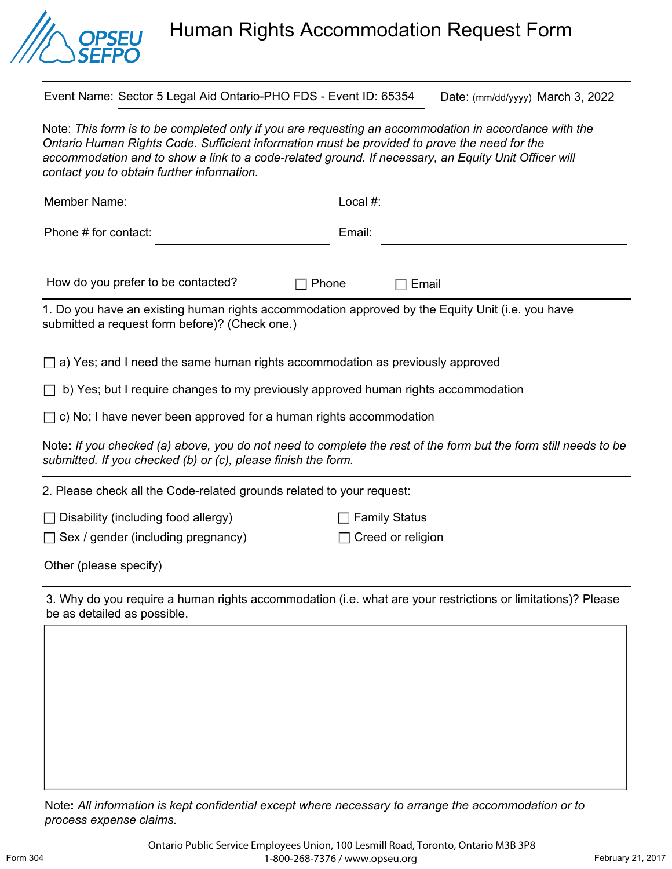

## Human Rights Accommodation Request Form

Event Name: Sector 5 Legal Aid Ontario-PHO FDS - Event ID: 65354 Date: (mm/dd/yyyy) March 3, 2022

Note: *This form is to be completed only if you are requesting an accommodation in accordance with the Ontario Human Rights Code. Sufficient information must be provided to prove the need for the*  accommodation and to show a link to a code-related ground. If necessary, an Equity Unit Officer will *contact you to obtain further information.* 

| Member Name:                                                                                                                                                                     | Local #: |
|----------------------------------------------------------------------------------------------------------------------------------------------------------------------------------|----------|
| Phone # for contact:                                                                                                                                                             | Email:   |
| How do you prefer to be contacted?<br>$\Box$ Phone                                                                                                                               | Email    |
| 1. Do you have an existing human rights accommodation approved by the Equity Unit (i.e. you have<br>submitted a request form before)? (Check one.)                               |          |
| $\Box$ a) Yes; and I need the same human rights accommodation as previously approved                                                                                             |          |
| $\Box$ b) Yes; but I require changes to my previously approved human rights accommodation                                                                                        |          |
| $\Box$ c) No; I have never been approved for a human rights accommodation                                                                                                        |          |
| Note: If you checked (a) above, you do not need to complete the rest of the form but the form still needs to be<br>submitted. If you checked (b) or (c), please finish the form. |          |
| 2. Please check all the Code-related grounds related to your request:                                                                                                            |          |

□ Disability (including food allergy) □ Family Status

□ Sex / gender (including pregnancy) □ Creed or religion

Other (please specify)

3. Why do you require a human rights accommodation (i.e. what are your restrictions or limitations)? Please be as detailed as possible.

Note**:** *All information is kept confidential except where necessary to arrange the accommodation or to process expense claims.*